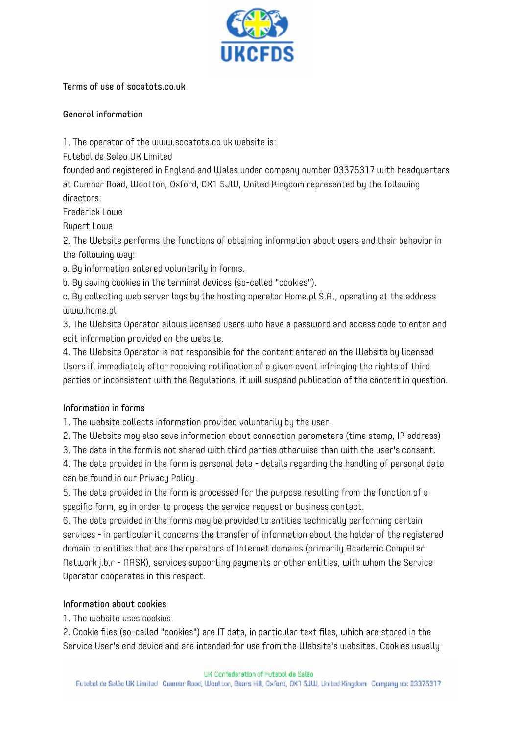

### Terms of use of socatots.co.uk

### General information

1. The operator of the www.socatots.co.uk website is:

Futebol de Salao UK Limited

founded and registered in England and Wales under company number 03375317 with headquarters at Cumnor Road, Wootton, Oxford, OX1 5JW, United Kingdom represented by the following directors:

Frederick Lowe

Rupert Lowe

2. The Website performs the functions of obtaining information about users and their behavior in the following way:

a. By information entered voluntarily in forms.

b. By saving cookies in the terminal devices (so-called "cookies").

c. By collecting web server logs by the hosting operator Home.pl S.A., operating at the address www.home.pl

3. The Website Operator allows licensed users who have a password and access code to enter and edit information provided on the website.

4. The Website Operator is not responsible for the content entered on the Website by licensed Users if, immediately after receiving notification of a given event infringing the rights of third parties or inconsistent with the Regulations, it will suspend publication of the content in question.

# Information in forms

1. The website collects information provided voluntarily by the user.

2. The Website may also save information about connection parameters (time stamp, IP address)

3. The data in the form is not shared with third parties otherwise than with the user's consent.

4. The data provided in the form is personal data - details regarding the handling of personal data can be found in our Privacy Policy.

5. The data provided in the form is processed for the purpose resulting from the function of a specific form, eg in order to process the service request or business contact.

6. The data provided in the forms may be provided to entities technically performing certain services - in particular it concerns the transfer of information about the holder of the registered domain to entities that are the operators of Internet domains (primarily Academic Computer Network j.b.r - NASK), services supporting payments or other entities, with whom the Service Operator cooperates in this respect.

# Information about cookies

1. The website uses cookies.

2. Cookie files (so-called "cookies") are IT data, in particular text files, which are stored in the Service User's end device and are intended for use from the Website's websites. Cookies usually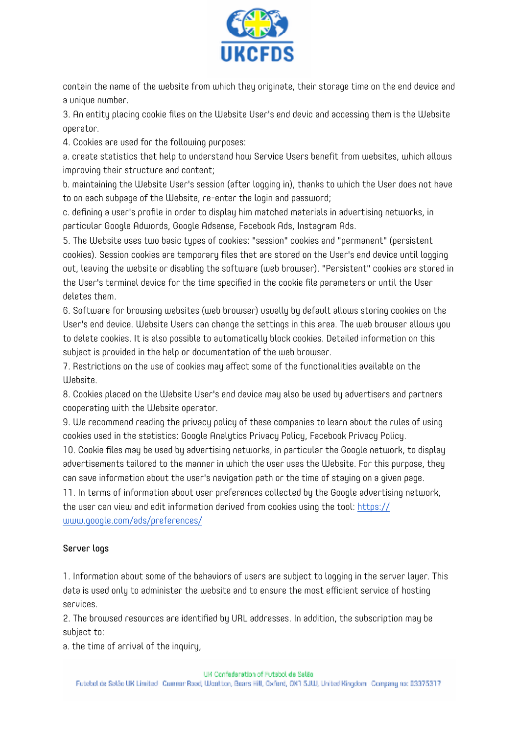

contain the name of the website from which they originate, their storage time on the end device and a unique number.

3. An entity placing cookie files on the Website User's end devic and accessing them is the Website operator.

4. Cookies are used for the following purposes:

a. create statistics that help to understand how Service Users benefit from websites, which allows improving their structure and content;

b. maintaining the Website User's session (after logging in), thanks to which the User does not have to on each subpage of the Website, re-enter the login and password;

c. defining a user's profile in order to display him matched materials in advertising networks, in particular Google Adwords, Google Adsense, Facebook Ads, Instagram Ads.

5. The Website uses two basic types of cookies: "session" cookies and "permanent" (persistent cookies). Session cookies are temporary files that are stored on the User's end device until logging out, leaving the website or disabling the software (web browser). "Persistent" cookies are stored in the User's terminal device for the time specified in the cookie file parameters or until the User deletes them.

6. Software for browsing websites (web browser) usually by default allows storing cookies on the User's end device. Website Users can change the settings in this area. The web browser allows you to delete cookies. It is also possible to automatically block cookies. Detailed information on this subject is provided in the help or documentation of the web browser.

7. Restrictions on the use of cookies may affect some of the functionalities available on the Website.

8. Cookies placed on the Website User's end device may also be used by advertisers and partners cooperating with the Website operator.

9. We recommend reading the privacy policy of these companies to learn about the rules of using cookies used in the statistics: Google Analytics Privacy Policy, Facebook Privacy Policy.

10. Cookie files may be used by advertising networks, in particular the Google network, to display advertisements tailored to the manner in which the user uses the Website. For this purpose, they can save information about the user's navigation path or the time of staying on a given page.

11. In terms of information about user preferences collected by the Google advertising network, the user can view and edit information derived from cookies using the tool[: https://](https://www.google.com/ads/preferences/) [www.google.com/ads/preferences/](https://www.google.com/ads/preferences/) 

# Server logs

1. Information about some of the behaviors of users are subject to logging in the server layer. This data is used only to administer the website and to ensure the most efficient service of hosting services.

2. The browsed resources are identified by URL addresses. In addition, the subscription may be subject to:

a. the time of arrival of the inquiry,